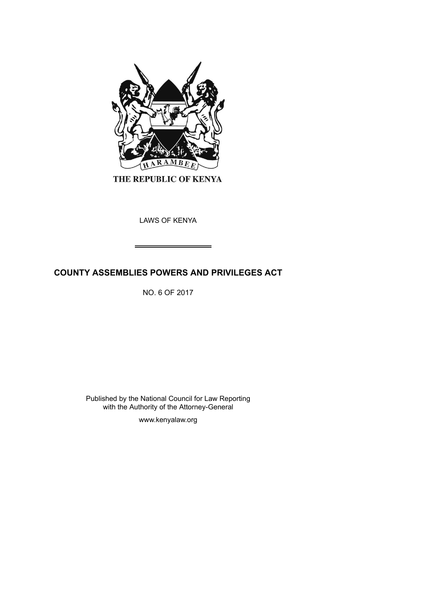

THE REPUBLIC OF KENYA

LAWS OF KENYA

# **COUNTY ASSEMBLIES POWERS AND PRIVILEGES ACT**

NO. 6 OF 2017

Published by the National Council for Law Reporting with the Authority of the Attorney-General

www.kenyalaw.org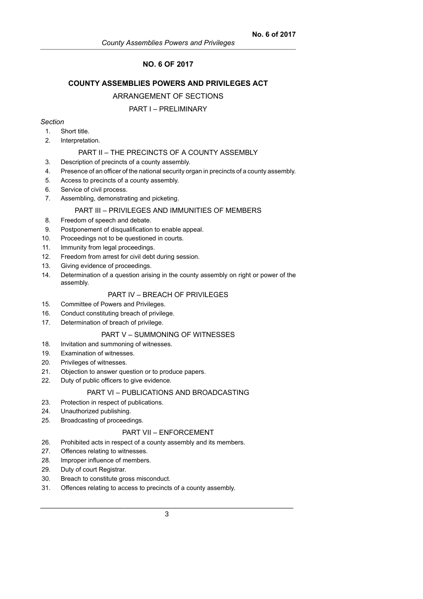## **NO. 6 OF 2017**

## **COUNTY ASSEMBLIES POWERS AND PRIVILEGES ACT**

### ARRANGEMENT OF SECTIONS

#### PART I – PRELIMINARY

#### *Section*

- 1. Short title.
- 2. Interpretation.

## PART II – THE PRECINCTS OF A COUNTY ASSEMBLY

3. Description of precincts of a county assembly.

- 4. Presence of an officer of the national security organ in precincts of a county assembly.
- 5. Access to precincts of a county assembly.
- 6. Service of civil process.
- 7. Assembling, demonstrating and picketing.

### PART III – PRIVILEGES AND IMMUNITIES OF MEMBERS

- 8. Freedom of speech and debate.
- 9. Postponement of disqualification to enable appeal.
- 10. Proceedings not to be questioned in courts.
- 11. Immunity from legal proceedings.
- 12. Freedom from arrest for civil debt during session.
- 13. Giving evidence of proceedings.
- 14. Determination of a question arising in the county assembly on right or power of the assembly.

## PART IV – BREACH OF PRIVILEGES

- 15. Committee of Powers and Privileges.
- 16. Conduct constituting breach of privilege.
- 17. Determination of breach of privilege.

## PART V – SUMMONING OF WITNESSES

- 18. Invitation and summoning of witnesses.
- 19. Examination of witnesses.
- 20. Privileges of witnesses.
- 21. Objection to answer question or to produce papers.
- 22. Duty of public officers to give evidence.

## PART VI – PUBLICATIONS AND BROADCASTING

- 23. Protection in respect of publications.
- 24. Unauthorized publishing.
- 25. Broadcasting of proceedings.

#### PART VII – ENFORCEMENT

- 26. Prohibited acts in respect of a county assembly and its members.
- 27. Offences relating to witnesses.
- 28. Improper influence of members.
- 29. Duty of court Registrar.
- 30. Breach to constitute gross misconduct.
- 31. Offences relating to access to precincts of a county assembly.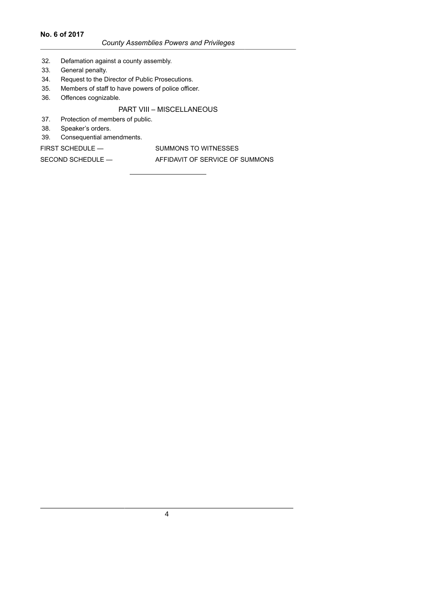## **No. 6 of 2017**

## *County Assemblies Powers and Privileges*

- 32. Defamation against a county assembly.
- 33. General penalty.
- 34. Request to the Director of Public Prosecutions.
- 35. Members of staff to have powers of police officer.
- 36. Offences cognizable.

## PART VIII – MISCELLANEOUS

- 37. Protection of members of public.
- 38. Speaker's orders.
- 39. Consequential amendments.

FIRST SCHEDULE — SUMMONS TO WITNESSES SECOND SCHEDULE — AFFIDAVIT OF SERVICE OF SUMMONS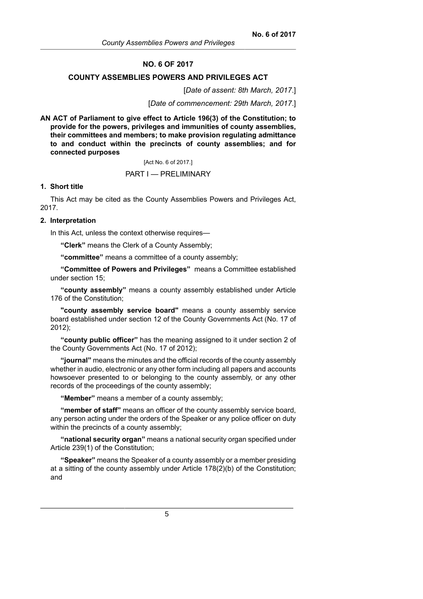#### **NO. 6 OF 2017**

#### **COUNTY ASSEMBLIES POWERS AND PRIVILEGES ACT**

[*Date of assent: 8th March, 2017*.]

[*Date of commencement: 29th March, 2017*.]

**AN ACT of Parliament to give effect to Article 196(3) of the Constitution; to provide for the powers, privileges and immunities of county assemblies, their committees and members; to make provision regulating admittance to and conduct within the precincts of county assemblies; and for connected purposes**

[Act No. 6 of 2017.]

PART I — PRELIMINARY

## **1. Short title**

This Act may be cited as the County Assemblies Powers and Privileges Act, 2017.

#### **2. Interpretation**

In this Act, unless the context otherwise requires—

**"Clerk"** means the Clerk of a County Assembly;

**"committee"** means a committee of a county assembly;

**"Committee of Powers and Privileges"** means a Committee established under section 15;

**"county assembly"** means a county assembly established under Article 176 of the Constitution;

**"county assembly service board"** means a county assembly service board established under section 12 of the County Governments Act (No. 17 of 2012);

**"county public officer"** has the meaning assigned to it under section 2 of the County Governments Act (No. 17 of 2012);

**"journal"** means the minutes and the official records of the county assembly whether in audio, electronic or any other form including all papers and accounts howsoever presented to or belonging to the county assembly, or any other records of the proceedings of the county assembly;

**"Member"** means a member of a county assembly;

**"member of staff"** means an officer of the county assembly service board, any person acting under the orders of the Speaker or any police officer on duty within the precincts of a county assembly;

**"national security organ"** means a national security organ specified under Article 239(1) of the Constitution;

**"Speaker"** means the Speaker of a county assembly or a member presiding at a sitting of the county assembly under Article 178(2)(b) of the Constitution; and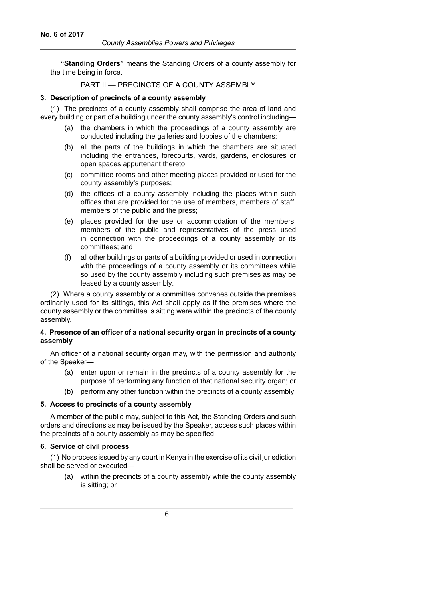**"Standing Orders"** means the Standing Orders of a county assembly for the time being in force.

## PART II — PRECINCTS OF A COUNTY ASSEMBLY

#### **3. Description of precincts of a county assembly**

(1) The precincts of a county assembly shall comprise the area of land and every building or part of a building under the county assembly's control including—

- (a) the chambers in which the proceedings of a county assembly are conducted including the galleries and lobbies of the chambers;
- (b) all the parts of the buildings in which the chambers are situated including the entrances, forecourts, yards, gardens, enclosures or open spaces appurtenant thereto;
- (c) committee rooms and other meeting places provided or used for the county assembly's purposes;
- (d) the offices of a county assembly including the places within such offices that are provided for the use of members, members of staff, members of the public and the press;
- (e) places provided for the use or accommodation of the members, members of the public and representatives of the press used in connection with the proceedings of a county assembly or its committees; and
- (f) all other buildings or parts of a building provided or used in connection with the proceedings of a county assembly or its committees while so used by the county assembly including such premises as may be leased by a county assembly.

(2) Where a county assembly or a committee convenes outside the premises ordinarily used for its sittings, this Act shall apply as if the premises where the county assembly or the committee is sitting were within the precincts of the county assembly.

## **4. Presence of an officer of a national security organ in precincts of a county assembly**

An officer of a national security organ may, with the permission and authority of the Speaker—

- (a) enter upon or remain in the precincts of a county assembly for the purpose of performing any function of that national security organ; or
- (b) perform any other function within the precincts of a county assembly.

### **5. Access to precincts of a county assembly**

A member of the public may, subject to this Act, the Standing Orders and such orders and directions as may be issued by the Speaker, access such places within the precincts of a county assembly as may be specified.

### **6. Service of civil process**

(1) No process issued by any court in Kenya in the exercise of its civil jurisdiction shall be served or executed—

(a) within the precincts of a county assembly while the county assembly is sitting; or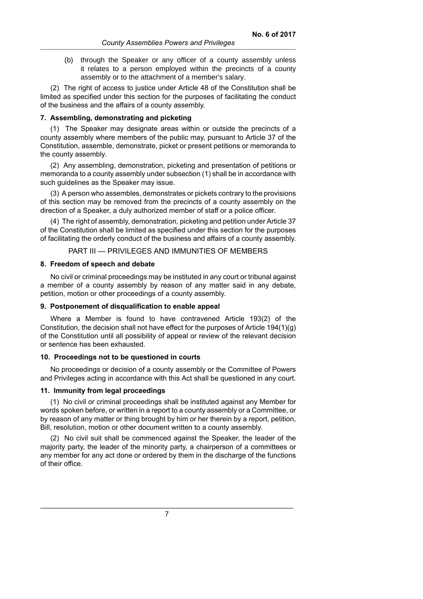(b) through the Speaker or any officer of a county assembly unless it relates to a person employed within the precincts of a county assembly or to the attachment of a member's salary.

(2) The right of access to justice under Article 48 of the Constitution shall be limited as specified under this section for the purposes of facilitating the conduct of the business and the affairs of a county assembly.

#### **7. Assembling, demonstrating and picketing**

(1) The Speaker may designate areas within or outside the precincts of a county assembly where members of the public may, pursuant to Article 37 of the Constitution, assemble, demonstrate, picket or present petitions or memoranda to the county assembly.

(2) Any assembling, demonstration, picketing and presentation of petitions or memoranda to a county assembly under subsection (1) shall be in accordance with such guidelines as the Speaker may issue.

(3) A person who assembles, demonstrates or pickets contrary to the provisions of this section may be removed from the precincts of a county assembly on the direction of a Speaker, a duly authorized member of staff or a police officer.

(4) The right of assembly, demonstration, picketing and petition under Article 37 of the Constitution shall be limited as specified under this section for the purposes of facilitating the orderly conduct of the business and affairs of a county assembly.

PART III — PRIVILEGES AND IMMUNITIES OF MEMBERS

#### **8. Freedom of speech and debate**

No civil or criminal proceedings may be instituted in any court or tribunal against a member of a county assembly by reason of any matter said in any debate, petition, motion or other proceedings of a county assembly.

#### **9. Postponement of disqualification to enable appeal**

Where a Member is found to have contravened Article 193(2) of the Constitution, the decision shall not have effect for the purposes of Article 194(1)(g) of the Constitution until all possibility of appeal or review of the relevant decision or sentence has been exhausted.

#### **10. Proceedings not to be questioned in courts**

No proceedings or decision of a county assembly or the Committee of Powers and Privileges acting in accordance with this Act shall be questioned in any court.

#### **11. Immunity from legal proceedings**

(1) No civil or criminal proceedings shall be instituted against any Member for words spoken before, or written in a report to a county assembly or a Committee, or by reason of any matter or thing brought by him or her therein by a report, petition, Bill, resolution, motion or other document written to a county assembly.

(2) No civil suit shall be commenced against the Speaker, the leader of the majority party, the leader of the minority party, a chairperson of a committees or any member for any act done or ordered by them in the discharge of the functions of their office.

7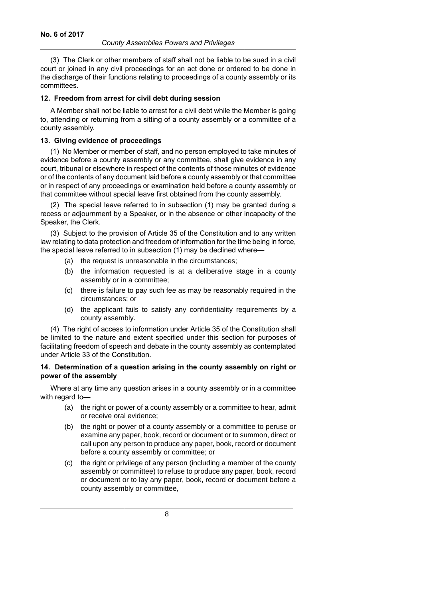(3) The Clerk or other members of staff shall not be liable to be sued in a civil court or joined in any civil proceedings for an act done or ordered to be done in the discharge of their functions relating to proceedings of a county assembly or its committees.

#### **12. Freedom from arrest for civil debt during session**

A Member shall not be liable to arrest for a civil debt while the Member is going to, attending or returning from a sitting of a county assembly or a committee of a county assembly.

### **13. Giving evidence of proceedings**

(1) No Member or member of staff, and no person employed to take minutes of evidence before a county assembly or any committee, shall give evidence in any court, tribunal or elsewhere in respect of the contents of those minutes of evidence or of the contents of any document laid before a county assembly or that committee or in respect of any proceedings or examination held before a county assembly or that committee without special leave first obtained from the county assembly.

(2) The special leave referred to in subsection (1) may be granted during a recess or adjournment by a Speaker, or in the absence or other incapacity of the Speaker, the Clerk.

(3) Subject to the provision of Article 35 of the Constitution and to any written law relating to data protection and freedom of information for the time being in force, the special leave referred to in subsection (1) may be declined where—

- (a) the request is unreasonable in the circumstances;
- (b) the information requested is at a deliberative stage in a county assembly or in a committee;
- (c) there is failure to pay such fee as may be reasonably required in the circumstances; or
- (d) the applicant fails to satisfy any confidentiality requirements by a county assembly.

(4) The right of access to information under Article 35 of the Constitution shall be limited to the nature and extent specified under this section for purposes of facilitating freedom of speech and debate in the county assembly as contemplated under Article 33 of the Constitution.

### **14. Determination of a question arising in the county assembly on right or power of the assembly**

Where at any time any question arises in a county assembly or in a committee with regard to—

- (a) the right or power of a county assembly or a committee to hear, admit or receive oral evidence;
- (b) the right or power of a county assembly or a committee to peruse or examine any paper, book, record or document or to summon, direct or call upon any person to produce any paper, book, record or document before a county assembly or committee; or
- (c) the right or privilege of any person (including a member of the county assembly or committee) to refuse to produce any paper, book, record or document or to lay any paper, book, record or document before a county assembly or committee,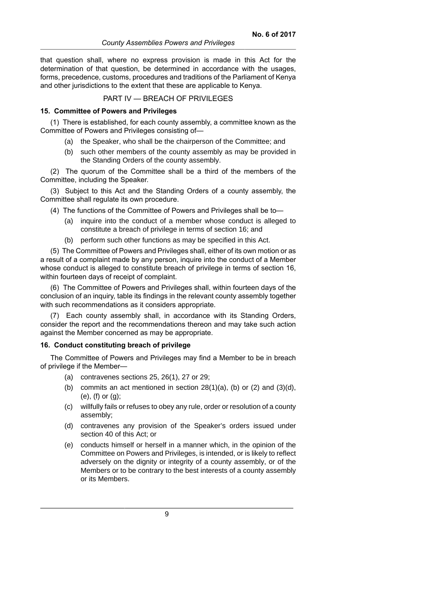that question shall, where no express provision is made in this Act for the determination of that question, be determined in accordance with the usages, forms, precedence, customs, procedures and traditions of the Parliament of Kenya and other jurisdictions to the extent that these are applicable to Kenya.

#### PART IV — BREACH OF PRIVILEGES

#### **15. Committee of Powers and Privileges**

(1) There is established, for each county assembly, a committee known as the Committee of Powers and Privileges consisting of—

- (a) the Speaker, who shall be the chairperson of the Committee; and
- (b) such other members of the county assembly as may be provided in the Standing Orders of the county assembly.

(2) The quorum of the Committee shall be a third of the members of the Committee, including the Speaker.

(3) Subject to this Act and the Standing Orders of a county assembly, the Committee shall regulate its own procedure.

(4) The functions of the Committee of Powers and Privileges shall be to—

- (a) inquire into the conduct of a member whose conduct is alleged to constitute a breach of privilege in terms of section 16; and
- (b) perform such other functions as may be specified in this Act.

(5) The Committee of Powers and Privileges shall, either of its own motion or as a result of a complaint made by any person, inquire into the conduct of a Member whose conduct is alleged to constitute breach of privilege in terms of section 16, within fourteen days of receipt of complaint.

(6) The Committee of Powers and Privileges shall, within fourteen days of the conclusion of an inquiry, table its findings in the relevant county assembly together with such recommendations as it considers appropriate.

(7) Each county assembly shall, in accordance with its Standing Orders, consider the report and the recommendations thereon and may take such action against the Member concerned as may be appropriate.

#### **16. Conduct constituting breach of privilege**

The Committee of Powers and Privileges may find a Member to be in breach of privilege if the Member—

- (a) contravenes sections 25, 26(1), 27 or 29;
- (b) commits an act mentioned in section  $28(1)(a)$ , (b) or  $(2)$  and  $(3)(d)$ , (e), (f) or (g);
- (c) willfully fails or refuses to obey any rule, order or resolution of a county assembly;
- (d) contravenes any provision of the Speaker's orders issued under section 40 of this Act; or
- (e) conducts himself or herself in a manner which, in the opinion of the Committee on Powers and Privileges, is intended, or is likely to reflect adversely on the dignity or integrity of a county assembly, or of the Members or to be contrary to the best interests of a county assembly or its Members.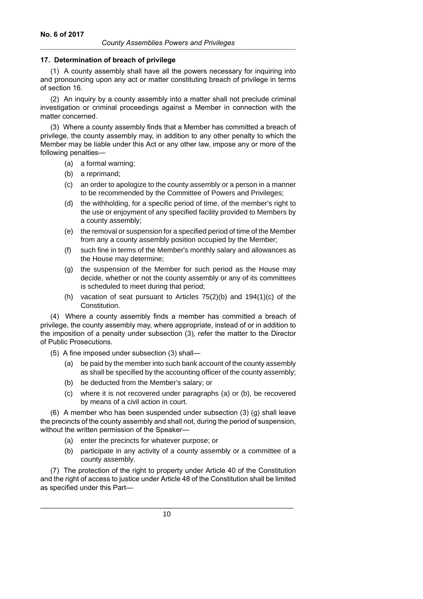### **17. Determination of breach of privilege**

(1) A county assembly shall have all the powers necessary for inquiring into and pronouncing upon any act or matter constituting breach of privilege in terms of section 16.

(2) An inquiry by a county assembly into a matter shall not preclude criminal investigation or criminal proceedings against a Member in connection with the matter concerned.

(3) Where a county assembly finds that a Member has committed a breach of privilege, the county assembly may, in addition to any other penalty to which the Member may be liable under this Act or any other law, impose any or more of the following penalties—

- (a) a formal warning;
- (b) a reprimand;
- (c) an order to apologize to the county assembly or a person in a manner to be recommended by the Committee of Powers and Privileges;
- (d) the withholding, for a specific period of time, of the member's right to the use or enjoyment of any specified facility provided to Members by a county assembly;
- (e) the removal or suspension for a specified period of time of the Member from any a county assembly position occupied by the Member;
- (f) such fine in terms of the Member's monthly salary and allowances as the House may determine;
- (g) the suspension of the Member for such period as the House may decide, whether or not the county assembly or any of its committees is scheduled to meet during that period;
- (h) vacation of seat pursuant to Articles 75(2)(b) and 194(1)(c) of the Constitution.

(4) Where a county assembly finds a member has committed a breach of privilege, the county assembly may, where appropriate, instead of or in addition to the imposition of a penalty under subsection (3), refer the matter to the Director of Public Prosecutions.

- (5) A fine imposed under subsection (3) shall—
	- (a) be paid by the member into such bank account of the county assembly as shall be specified by the accounting officer of the county assembly;
	- (b) be deducted from the Member's salary; or
	- (c) where it is not recovered under paragraphs (a) or (b), be recovered by means of a civil action in court.

(6) A member who has been suspended under subsection (3) (g) shall leave the precincts of the county assembly and shall not, during the period of suspension, without the written permission of the Speaker—

- (a) enter the precincts for whatever purpose; or
- (b) participate in any activity of a county assembly or a committee of a county assembly.

(7) The protection of the right to property under Article 40 of the Constitution and the right of access to justice under Article 48 of the Constitution shall be limited as specified under this Part—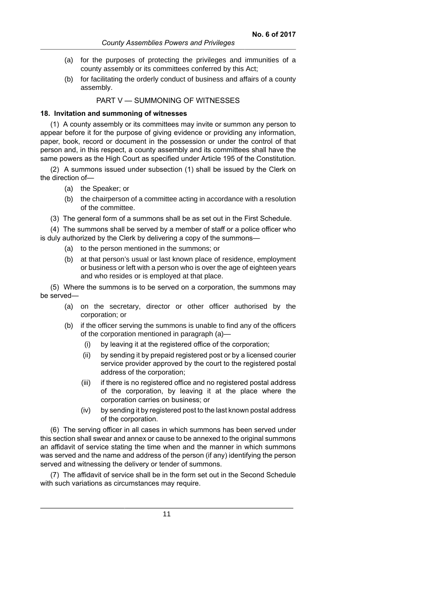- (a) for the purposes of protecting the privileges and immunities of a county assembly or its committees conferred by this Act;
- (b) for facilitating the orderly conduct of business and affairs of a county assembly.

PART V — SUMMONING OF WITNESSES

#### **18. Invitation and summoning of witnesses**

(1) A county assembly or its committees may invite or summon any person to appear before it for the purpose of giving evidence or providing any information, paper, book, record or document in the possession or under the control of that person and, in this respect, a county assembly and its committees shall have the same powers as the High Court as specified under Article 195 of the Constitution.

(2) A summons issued under subsection (1) shall be issued by the Clerk on the direction of—

- (a) the Speaker; or
- (b) the chairperson of a committee acting in accordance with a resolution of the committee.
- (3) The general form of a summons shall be as set out in the First Schedule.

(4) The summons shall be served by a member of staff or a police officer who is duly authorized by the Clerk by delivering a copy of the summons—

- (a) to the person mentioned in the summons; or
- (b) at that person's usual or last known place of residence, employment or business or left with a person who is over the age of eighteen years and who resides or is employed at that place.

(5) Where the summons is to be served on a corporation, the summons may be served—

- (a) on the secretary, director or other officer authorised by the corporation; or
- (b) if the officer serving the summons is unable to find any of the officers of the corporation mentioned in paragraph (a)—
	- (i) by leaving it at the registered office of the corporation;
	- (ii) by sending it by prepaid registered post or by a licensed courier service provider approved by the court to the registered postal address of the corporation;
	- (iii) if there is no registered office and no registered postal address of the corporation, by leaving it at the place where the corporation carries on business; or
	- (iv) by sending it by registered post to the last known postal address of the corporation.

(6) The serving officer in all cases in which summons has been served under this section shall swear and annex or cause to be annexed to the original summons an affidavit of service stating the time when and the manner in which summons was served and the name and address of the person (if any) identifying the person served and witnessing the delivery or tender of summons.

(7) The affidavit of service shall be in the form set out in the Second Schedule with such variations as circumstances may require.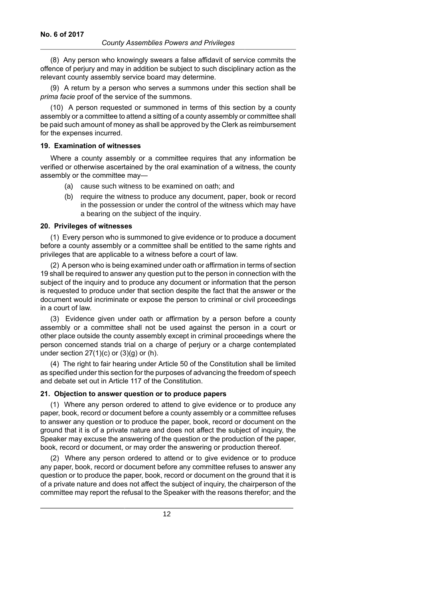(8) Any person who knowingly swears a false affidavit of service commits the offence of perjury and may in addition be subject to such disciplinary action as the relevant county assembly service board may determine.

(9) A return by a person who serves a summons under this section shall be *prima facie* proof of the service of the summons.

(10) A person requested or summoned in terms of this section by a county assembly or a committee to attend a sitting of a county assembly or committee shall be paid such amount of money as shall be approved by the Clerk as reimbursement for the expenses incurred.

#### **19. Examination of witnesses**

Where a county assembly or a committee requires that any information be verified or otherwise ascertained by the oral examination of a witness, the county assembly or the committee may—

- (a) cause such witness to be examined on oath; and
- (b) require the witness to produce any document, paper, book or record in the possession or under the control of the witness which may have a bearing on the subject of the inquiry.

#### **20. Privileges of witnesses**

(1) Every person who is summoned to give evidence or to produce a document before a county assembly or a committee shall be entitled to the same rights and privileges that are applicable to a witness before a court of law.

(2) A person who is being examined under oath or affirmation in terms of section 19 shall be required to answer any question put to the person in connection with the subject of the inquiry and to produce any document or information that the person is requested to produce under that section despite the fact that the answer or the document would incriminate or expose the person to criminal or civil proceedings in a court of law.

(3) Evidence given under oath or affirmation by a person before a county assembly or a committee shall not be used against the person in a court or other place outside the county assembly except in criminal proceedings where the person concerned stands trial on a charge of perjury or a charge contemplated under section  $27(1)(c)$  or  $(3)(g)$  or  $(h)$ .

(4) The right to fair hearing under Article 50 of the Constitution shall be limited as specified under this section for the purposes of advancing the freedom of speech and debate set out in Article 117 of the Constitution.

## **21. Objection to answer question or to produce papers**

(1) Where any person ordered to attend to give evidence or to produce any paper, book, record or document before a county assembly or a committee refuses to answer any question or to produce the paper, book, record or document on the ground that it is of a private nature and does not affect the subject of inquiry, the Speaker may excuse the answering of the question or the production of the paper, book, record or document, or may order the answering or production thereof.

(2) Where any person ordered to attend or to give evidence or to produce any paper, book, record or document before any committee refuses to answer any question or to produce the paper, book, record or document on the ground that it is of a private nature and does not affect the subject of inquiry, the chairperson of the committee may report the refusal to the Speaker with the reasons therefor; and the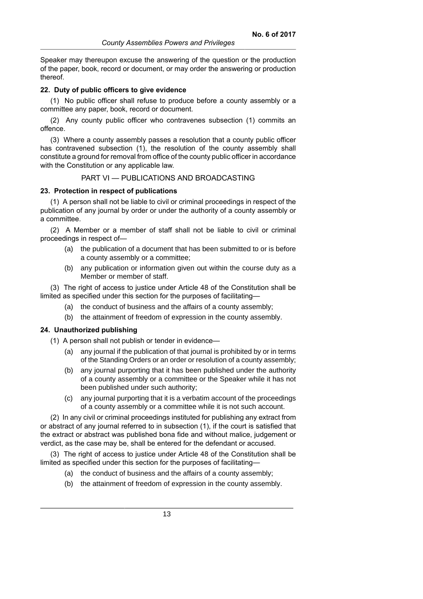Speaker may thereupon excuse the answering of the question or the production of the paper, book, record or document, or may order the answering or production thereof.

#### **22. Duty of public officers to give evidence**

(1) No public officer shall refuse to produce before a county assembly or a committee any paper, book, record or document.

(2) Any county public officer who contravenes subsection (1) commits an offence.

(3) Where a county assembly passes a resolution that a county public officer has contravened subsection (1), the resolution of the county assembly shall constitute a ground for removal from office of the county public officer in accordance with the Constitution or any applicable law.

## PART VI — PUBLICATIONS AND BROADCASTING

#### **23. Protection in respect of publications**

(1) A person shall not be liable to civil or criminal proceedings in respect of the publication of any journal by order or under the authority of a county assembly or a committee.

(2) A Member or a member of staff shall not be liable to civil or criminal proceedings in respect of—

- (a) the publication of a document that has been submitted to or is before a county assembly or a committee;
- (b) any publication or information given out within the course duty as a Member or member of staff.

(3) The right of access to justice under Article 48 of the Constitution shall be limited as specified under this section for the purposes of facilitating—

- (a) the conduct of business and the affairs of a county assembly;
- (b) the attainment of freedom of expression in the county assembly.

### **24. Unauthorized publishing**

(1) A person shall not publish or tender in evidence—

- (a) any journal if the publication of that journal is prohibited by or in terms of the Standing Orders or an order or resolution of a county assembly;
- (b) any journal purporting that it has been published under the authority of a county assembly or a committee or the Speaker while it has not been published under such authority;
- (c) any journal purporting that it is a verbatim account of the proceedings of a county assembly or a committee while it is not such account.

(2) In any civil or criminal proceedings instituted for publishing any extract from or abstract of any journal referred to in subsection (1), if the court is satisfied that the extract or abstract was published bona fide and without malice, judgement or verdict, as the case may be, shall be entered for the defendant or accused.

(3) The right of access to justice under Article 48 of the Constitution shall be limited as specified under this section for the purposes of facilitating—

- (a) the conduct of business and the affairs of a county assembly;
- (b) the attainment of freedom of expression in the county assembly.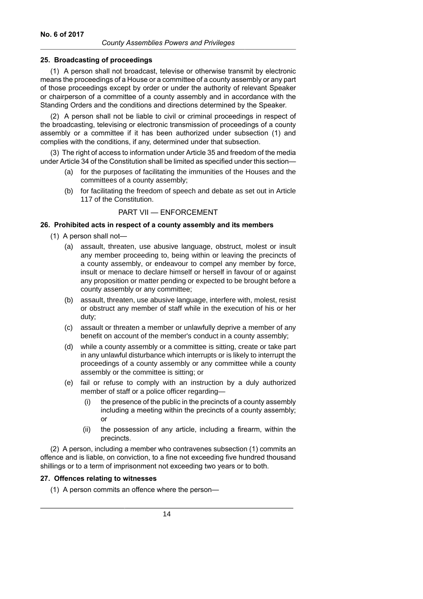### **25. Broadcasting of proceedings**

(1) A person shall not broadcast, televise or otherwise transmit by electronic means the proceedings of a House or a committee of a county assembly or any part of those proceedings except by order or under the authority of relevant Speaker or chairperson of a committee of a county assembly and in accordance with the Standing Orders and the conditions and directions determined by the Speaker.

(2) A person shall not be liable to civil or criminal proceedings in respect of the broadcasting, televising or electronic transmission of proceedings of a county assembly or a committee if it has been authorized under subsection (1) and complies with the conditions, if any, determined under that subsection.

(3) The right of access to information under Article 35 and freedom of the media under Article 34 of the Constitution shall be limited as specified under this section—

- (a) for the purposes of facilitating the immunities of the Houses and the committees of a county assembly;
- (b) for facilitating the freedom of speech and debate as set out in Article 117 of the Constitution.

## PART VII — ENFORCEMENT

### **26. Prohibited acts in respect of a county assembly and its members**

- (1) A person shall not—
	- (a) assault, threaten, use abusive language, obstruct, molest or insult any member proceeding to, being within or leaving the precincts of a county assembly, or endeavour to compel any member by force, insult or menace to declare himself or herself in favour of or against any proposition or matter pending or expected to be brought before a county assembly or any committee;
	- (b) assault, threaten, use abusive language, interfere with, molest, resist or obstruct any member of staff while in the execution of his or her duty;
	- (c) assault or threaten a member or unlawfully deprive a member of any benefit on account of the member's conduct in a county assembly;
	- (d) while a county assembly or a committee is sitting, create or take part in any unlawful disturbance which interrupts or is likely to interrupt the proceedings of a county assembly or any committee while a county assembly or the committee is sitting; or
	- (e) fail or refuse to comply with an instruction by a duly authorized member of staff or a police officer regarding—
		- (i) the presence of the public in the precincts of a county assembly including a meeting within the precincts of a county assembly; or
		- (ii) the possession of any article, including a firearm, within the precincts.

(2) A person, including a member who contravenes subsection (1) commits an offence and is liable, on conviction, to a fine not exceeding five hundred thousand shillings or to a term of imprisonment not exceeding two years or to both.

### **27. Offences relating to witnesses**

(1) A person commits an offence where the person—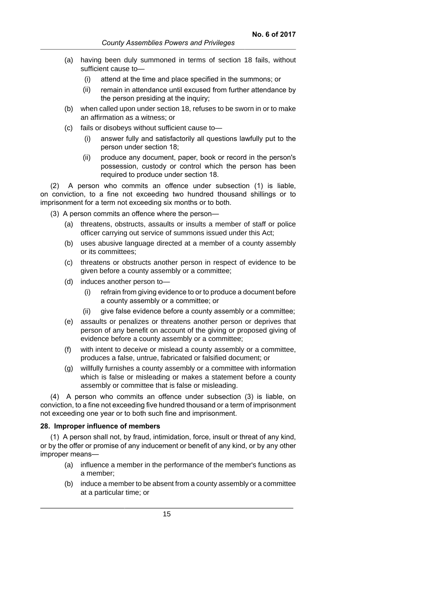- (a) having been duly summoned in terms of section 18 fails, without sufficient cause to—
	- (i) attend at the time and place specified in the summons; or
	- (ii) remain in attendance until excused from further attendance by the person presiding at the inquiry;
- (b) when called upon under section 18, refuses to be sworn in or to make an affirmation as a witness; or
- (c) fails or disobeys without sufficient cause to—
	- (i) answer fully and satisfactorily all questions lawfully put to the person under section 18;
	- (ii) produce any document, paper, book or record in the person's possession, custody or control which the person has been required to produce under section 18.

(2) A person who commits an offence under subsection (1) is liable, on conviction, to a fine not exceeding two hundred thousand shillings or to imprisonment for a term not exceeding six months or to both.

- (3) A person commits an offence where the person—
	- (a) threatens, obstructs, assaults or insults a member of staff or police officer carrying out service of summons issued under this Act;
	- (b) uses abusive language directed at a member of a county assembly or its committees;
	- (c) threatens or obstructs another person in respect of evidence to be given before a county assembly or a committee;
	- (d) induces another person to—
		- (i) refrain from giving evidence to or to produce a document before a county assembly or a committee; or
		- (ii) give false evidence before a county assembly or a committee;
	- (e) assaults or penalizes or threatens another person or deprives that person of any benefit on account of the giving or proposed giving of evidence before a county assembly or a committee;
	- (f) with intent to deceive or mislead a county assembly or a committee, produces a false, untrue, fabricated or falsified document; or
	- (g) willfully furnishes a county assembly or a committee with information which is false or misleading or makes a statement before a county assembly or committee that is false or misleading.

(4) A person who commits an offence under subsection (3) is liable, on conviction, to a fine not exceeding five hundred thousand or a term of imprisonment not exceeding one year or to both such fine and imprisonment.

#### **28. Improper influence of members**

(1) A person shall not, by fraud, intimidation, force, insult or threat of any kind, or by the offer or promise of any inducement or benefit of any kind, or by any other improper means—

- (a) influence a member in the performance of the member's functions as a member;
- (b) induce a member to be absent from a county assembly or a committee at a particular time; or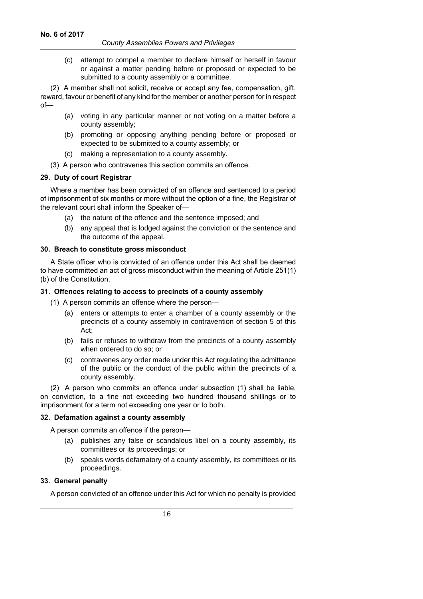(c) attempt to compel a member to declare himself or herself in favour or against a matter pending before or proposed or expected to be submitted to a county assembly or a committee.

(2) A member shall not solicit, receive or accept any fee, compensation, gift, reward, favour or benefit of any kind for the member or another person for in respect of—

- (a) voting in any particular manner or not voting on a matter before a county assembly;
- (b) promoting or opposing anything pending before or proposed or expected to be submitted to a county assembly; or
- (c) making a representation to a county assembly.
- (3) A person who contravenes this section commits an offence.

## **29. Duty of court Registrar**

Where a member has been convicted of an offence and sentenced to a period of imprisonment of six months or more without the option of a fine, the Registrar of the relevant court shall inform the Speaker of—

- (a) the nature of the offence and the sentence imposed; and
- (b) any appeal that is lodged against the conviction or the sentence and the outcome of the appeal.

### **30. Breach to constitute gross misconduct**

A State officer who is convicted of an offence under this Act shall be deemed to have committed an act of gross misconduct within the meaning of Article 251(1) (b) of the Constitution.

### **31. Offences relating to access to precincts of a county assembly**

(1) A person commits an offence where the person—

- (a) enters or attempts to enter a chamber of a county assembly or the precincts of a county assembly in contravention of section 5 of this Act;
- (b) fails or refuses to withdraw from the precincts of a county assembly when ordered to do so; or
- (c) contravenes any order made under this Act regulating the admittance of the public or the conduct of the public within the precincts of a county assembly.

(2) A person who commits an offence under subsection (1) shall be liable, on conviction, to a fine not exceeding two hundred thousand shillings or to imprisonment for a term not exceeding one year or to both.

## **32. Defamation against a county assembly**

A person commits an offence if the person—

- (a) publishes any false or scandalous libel on a county assembly, its committees or its proceedings; or
- (b) speaks words defamatory of a county assembly, its committees or its proceedings.

## **33. General penalty**

A person convicted of an offence under this Act for which no penalty is provided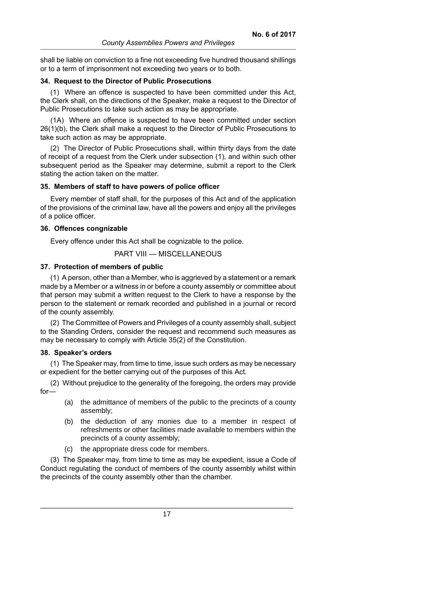shall be liable on conviction to a fine not exceeding five hundred thousand shillings or to a term of imprisonment not exceeding two years or to both.

#### **34. Request to the Director of Public Prosecutions**

(1) Where an offence is suspected to have been committed under this Act, the Clerk shall, on the directions of the Speaker, make a request to the Director of Public Prosecutions to take such action as may be appropriate.

(1A) Where an offence is suspected to have been committed under section 26(1)(b), the Clerk shall make a request to the Director of Public Prosecutions to take such action as may be appropriate.

(2) The Director of Public Prosecutions shall, within thirty days from the date of receipt of a request from the Clerk under subsection (1), and within such other subsequent period as the Speaker may determine, submit a report to the Clerk stating the action taken on the matter.

#### **35. Members of staff to have powers of police officer**

Every member of staff shall, for the purposes of this Act and of the application of the provisions of the criminal law, have all the powers and enjoy all the privileges of a police officer.

#### **36. Offences congnizable**

Every offence under this Act shall be cognizable to the police.

PART VIII — MISCELLANEOUS

#### **37. Protection of members of public**

(1) A person, other than a Member, who is aggrieved by a statement or a remark made by a Member or a witness in or before a county assembly or committee about that person may submit a written request to the Clerk to have a response by the person to the statement or remark recorded and published in a journal or record of the county assembly.

(2) The Committee of Powers and Privileges of a county assembly shall, subject to the Standing Orders, consider the request and recommend such measures as may be necessary to comply with Article 35(2) of the Constitution.

#### **38. Speaker's orders**

(1) The Speaker may, from time to time, issue such orders as may be necessary or expedient for the better carrying out of the purposes of this Act.

(2) Without prejudice to the generality of the foregoing, the orders may provide for—

- (a) the admittance of members of the public to the precincts of a county assembly;
- (b) the deduction of any monies due to a member in respect of refreshments or other facilities made available to members within the precincts of a county assembly;
- (c) the appropriate dress code for members.

(3) The Speaker may, from time to time as may be expedient, issue a Code of Conduct regulating the conduct of members of the county assembly whilst within the precincts of the county assembly other than the chamber.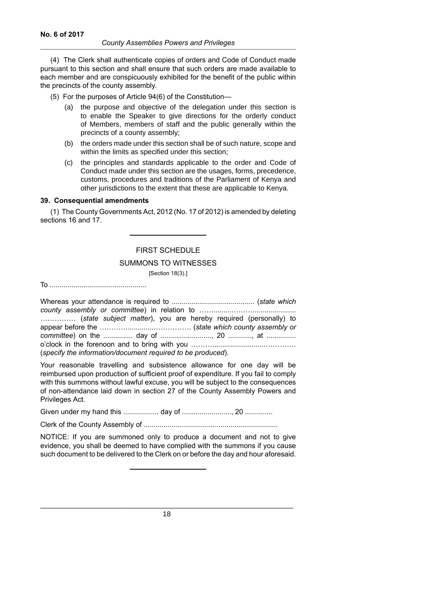(4) The Clerk shall authenticate copies of orders and Code of Conduct made pursuant to this section and shall ensure that such orders are made available to each member and are conspicuously exhibited for the benefit of the public within the precincts of the county assembly.

- (5) For the purposes of Article 94(6) of the Constitution—
	- (a) the purpose and objective of the delegation under this section is to enable the Speaker to give directions for the orderly conduct of Members, members of staff and the public generally within the precincts of a county assembly;
	- (b) the orders made under this section shall be of such nature, scope and within the limits as specified under this section;
	- (c) the principles and standards applicable to the order and Code of Conduct made under this section are the usages, forms, precedence, customs, procedures and traditions of the Parliament of Kenya and other jurisdictions to the extent that these are applicable to Kenya.

### **39. Consequential amendments**

(1) The County Governments Act, 2012 (No. 17 of 2012) is amended by deleting sections 16 and 17.

## FIRST SCHEDULE

#### SUMMONS TO WITNESSES

[Section 18(3).]

To .................................................

Whereas your attendance is required to .......................................... (*state which county assembly or committee*) in relation to …….........………...................... …………… (*state subject matter*), you are hereby required (personally) to appear before the ………….............……………. (*state which county assembly or committee*) on the ............... day of .........................., 20 ............, at ............... o'clock in the forenoon and to bring with you ………...........................…………. (*specify the information/document required to be produced*).

Your reasonable travelling and subsistence allowance for one day will be reimbursed upon production of sufficient proof of expenditure. If you fail to comply with this summons without lawful excuse, you will be subject to the consequences of non-attendance laid down in section 27 of the County Assembly Powers and Privileges Act.

Given under my hand this .................. day of ........................., 20 ..............

Clerk of the County Assembly of ....................................................................

NOTICE: If you are summoned only to produce a document and not to give evidence, you shall be deemed to have complied with the summons if you cause such document to be delivered to the Clerk on or before the day and hour aforesaid.